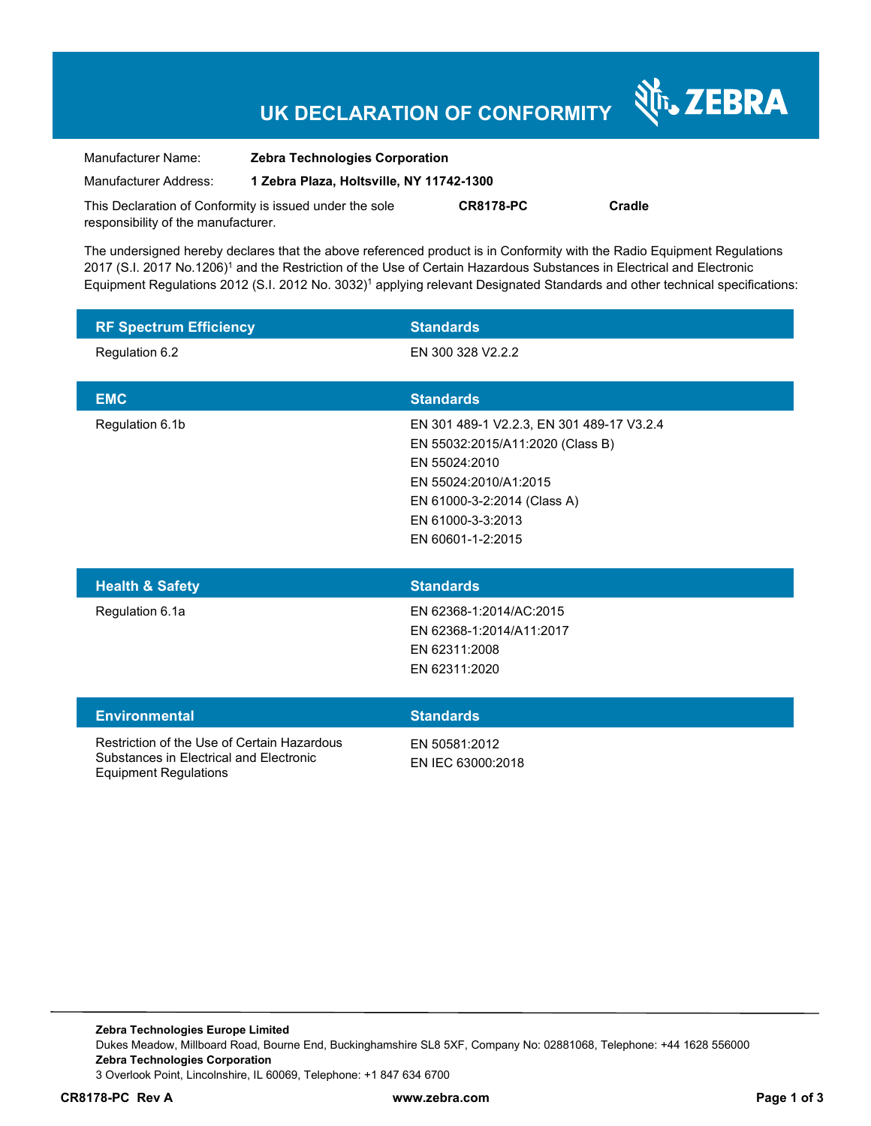# **UK DECLARATION OF CONFORMITY**

Nr. ZEBRA

| Manufacturer Name:                                      | <b>Zebra Technologies Corporation</b>    |                  |        |  |
|---------------------------------------------------------|------------------------------------------|------------------|--------|--|
| Manufacturer Address:                                   | 1 Zebra Plaza, Holtsville, NY 11742-1300 |                  |        |  |
| This Declaration of Conformity is issued under the sole |                                          | <b>CR8178-PC</b> | Cradle |  |
| responsibility of the manufacturer.                     |                                          |                  |        |  |

The undersigned hereby declares that the above referenced product is in Conformity with the Radio Equipment Regulations 2017 (S.I. 2017 No.1206)<sup>1</sup> and the Restriction of the Use of Certain Hazardous Substances in Electrical and Electronic Equipment Regulations 2012 (S.I. 2012 No. 3032)<sup>1</sup> applying relevant Designated Standards and other technical specifications:

| <b>RF Spectrum Efficiency</b>                                                                                          | <b>Standards</b>                                                                                                                                                                                 |
|------------------------------------------------------------------------------------------------------------------------|--------------------------------------------------------------------------------------------------------------------------------------------------------------------------------------------------|
| Regulation 6.2                                                                                                         | EN 300 328 V2.2.2                                                                                                                                                                                |
| <b>EMC</b>                                                                                                             | <b>Standards</b>                                                                                                                                                                                 |
| Regulation 6.1b                                                                                                        | EN 301 489-1 V2.2.3, EN 301 489-17 V3.2.4<br>EN 55032:2015/A11:2020 (Class B)<br>EN 55024:2010<br>EN 55024:2010/A1:2015<br>EN 61000-3-2:2014 (Class A)<br>EN 61000-3-3:2013<br>EN 60601-1-2:2015 |
| <b>Health &amp; Safety</b>                                                                                             | <b>Standards</b>                                                                                                                                                                                 |
| Regulation 6.1a                                                                                                        | EN 62368-1:2014/AC:2015<br>EN 62368-1:2014/A11:2017<br>EN 62311:2008<br>EN 62311:2020                                                                                                            |
| <b>Environmental</b>                                                                                                   | <b>Standards</b>                                                                                                                                                                                 |
| Restriction of the Use of Certain Hazardous<br>Substances in Electrical and Electronic<br><b>Equipment Regulations</b> | EN 50581:2012<br>EN IEC 63000:2018                                                                                                                                                               |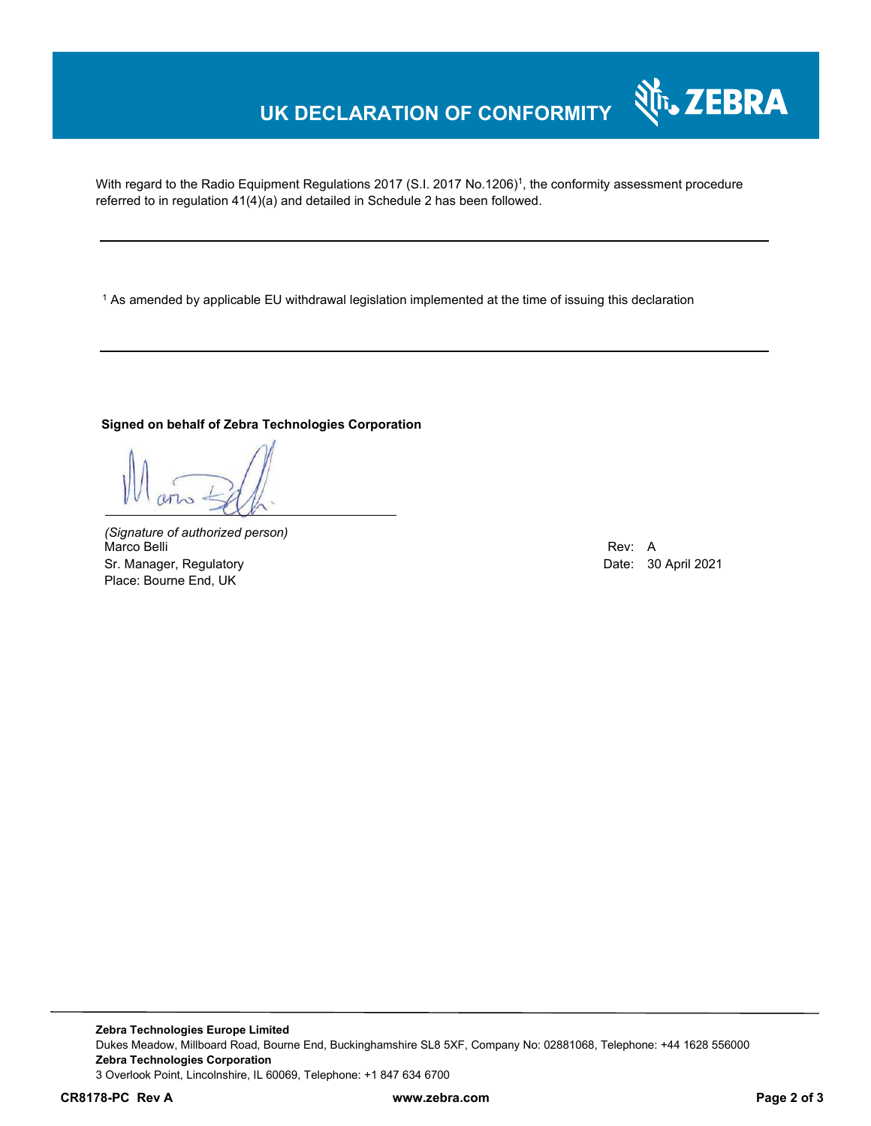## **UK DECLARATION OF CONFORMITY**

With regard to the Radio Equipment Regulations 2017 (S.I. 2017 No.1206)<sup>1</sup>, the conformity assessment procedure referred to in regulation 41(4)(a) and detailed in Schedule 2 has been followed.

1 As amended by applicable EU withdrawal legislation implemented at the time of issuing this declaration

#### **Signed on behalf of Zebra Technologies Corporation**

*(Signature of authorized person)* Marco Belli Rev: A Sr. Manager, Regulatory **Date: 30 April 2021** Place: Bourne End, UK

र्शे<sub>ि</sub>, ZEBRA